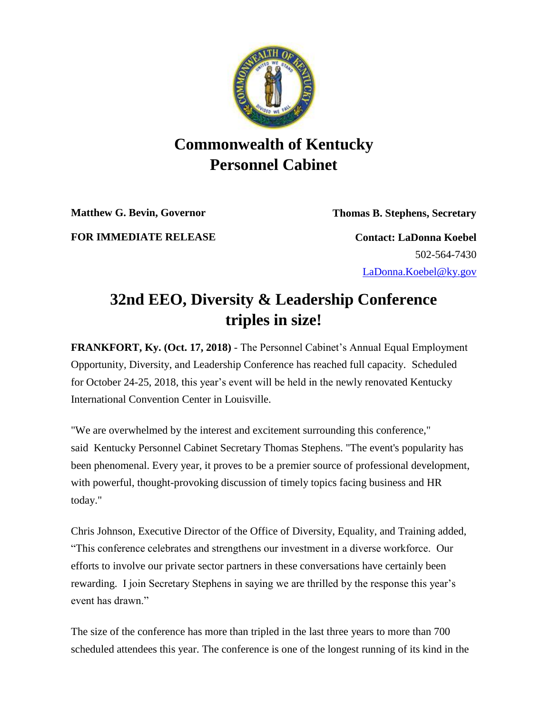

## **Commonwealth of Kentucky Personnel Cabinet**

**Matthew G. Bevin, Governor Thomas B. Stephens, Secretary**

**FOR IMMEDIATE RELEASE Contact: LaDonna Koebel**

502-564-7430 [LaDonna.Koebel@ky.gov](mailto:LaDonna.Koebel@ky.gov)

## **32nd EEO, Diversity & Leadership Conference triples in size!**

**FRANKFORT, Ky. (Oct. 17, 2018)** - The Personnel Cabinet's Annual Equal Employment Opportunity, Diversity, and Leadership Conference has reached full capacity. Scheduled for October 24-25, 2018, this year's event will be held in the newly renovated Kentucky International Convention Center in Louisville.

"We are overwhelmed by the interest and excitement surrounding this conference," said Kentucky Personnel Cabinet Secretary Thomas Stephens. "The event's popularity has been phenomenal. Every year, it proves to be a premier source of professional development, with powerful, thought-provoking discussion of timely topics facing business and HR today."

Chris Johnson, Executive Director of the Office of Diversity, Equality, and Training added, "This conference celebrates and strengthens our investment in a diverse workforce. Our efforts to involve our private sector partners in these conversations have certainly been rewarding. I join Secretary Stephens in saying we are thrilled by the response this year's event has drawn."

The size of the conference has more than tripled in the last three years to more than 700 scheduled attendees this year. The conference is one of the longest running of its kind in the